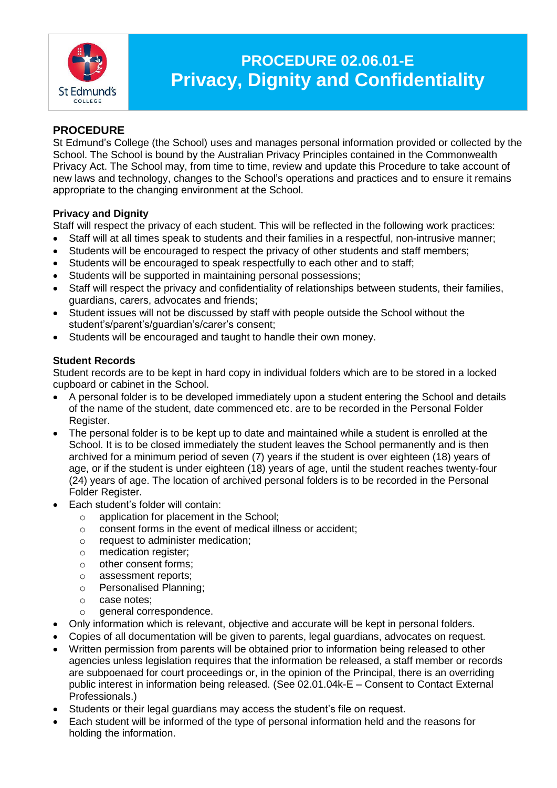

# **PROCEDURE 02.06.01-E Privacy, Dignity and Confidentiality**

## **PROCEDURE**

St Edmund's College (the School) uses and manages personal information provided or collected by the School. The School is bound by the Australian Privacy Principles contained in the Commonwealth Privacy Act. The School may, from time to time, review and update this Procedure to take account of new laws and technology, changes to the School's operations and practices and to ensure it remains appropriate to the changing environment at the School.

## **Privacy and Dignity**

Staff will respect the privacy of each student. This will be reflected in the following work practices:

- Staff will at all times speak to students and their families in a respectful, non-intrusive manner;
- Students will be encouraged to respect the privacy of other students and staff members;
- Students will be encouraged to speak respectfully to each other and to staff;
- Students will be supported in maintaining personal possessions;
- Staff will respect the privacy and confidentiality of relationships between students, their families, guardians, carers, advocates and friends;
- Student issues will not be discussed by staff with people outside the School without the student's/parent's/guardian's/carer's consent;
- Students will be encouraged and taught to handle their own money.

#### **Student Records**

Student records are to be kept in hard copy in individual folders which are to be stored in a locked cupboard or cabinet in the School.

- A personal folder is to be developed immediately upon a student entering the School and details of the name of the student, date commenced etc. are to be recorded in the Personal Folder Register.
- The personal folder is to be kept up to date and maintained while a student is enrolled at the School. It is to be closed immediately the student leaves the School permanently and is then archived for a minimum period of seven (7) years if the student is over eighteen (18) years of age, or if the student is under eighteen (18) years of age, until the student reaches twenty-four (24) years of age. The location of archived personal folders is to be recorded in the Personal Folder Register.
- Each student's folder will contain:
	- o application for placement in the School;
	- o consent forms in the event of medical illness or accident;
	- o request to administer medication;
	- o medication register;
	- o other consent forms;
	- o assessment reports;
	- o Personalised Planning;
	- o case notes;
	- o general correspondence.
- Only information which is relevant, objective and accurate will be kept in personal folders.
- Copies of all documentation will be given to parents, legal guardians, advocates on request.
- Written permission from parents will be obtained prior to information being released to other agencies unless legislation requires that the information be released, a staff member or records are subpoenaed for court proceedings or, in the opinion of the Principal, there is an overriding public interest in information being released. (See 02.01.04k-E – Consent to Contact External Professionals.)
- Students or their legal guardians may access the student's file on request.
- Each student will be informed of the type of personal information held and the reasons for holding the information.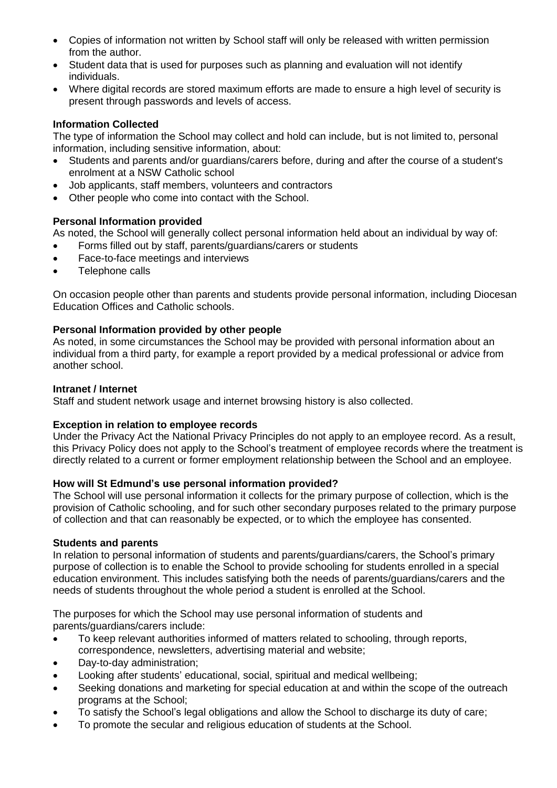- Copies of information not written by School staff will only be released with written permission from the author.
- Student data that is used for purposes such as planning and evaluation will not identify individuals.
- Where digital records are stored maximum efforts are made to ensure a high level of security is present through passwords and levels of access.

## **Information Collected**

The type of information the School may collect and hold can include, but is not limited to, personal information, including sensitive information, about:

- Students and parents and/or guardians/carers before, during and after the course of a student's enrolment at a NSW Catholic school
- Job applicants, staff members, volunteers and contractors
- Other people who come into contact with the School.

#### **Personal Information provided**

As noted, the School will generally collect personal information held about an individual by way of:

- Forms filled out by staff, parents/guardians/carers or students
- Face-to-face meetings and interviews
- Telephone calls

On occasion people other than parents and students provide personal information, including Diocesan Education Offices and Catholic schools.

#### **Personal Information provided by other people**

As noted, in some circumstances the School may be provided with personal information about an individual from a third party, for example a report provided by a medical professional or advice from another school.

#### **Intranet / Internet**

Staff and student network usage and internet browsing history is also collected.

#### **Exception in relation to employee records**

Under the Privacy Act the National Privacy Principles do not apply to an employee record. As a result, this Privacy Policy does not apply to the School's treatment of employee records where the treatment is directly related to a current or former employment relationship between the School and an employee.

#### **How will St Edmund's use personal information provided?**

The School will use personal information it collects for the primary purpose of collection, which is the provision of Catholic schooling, and for such other secondary purposes related to the primary purpose of collection and that can reasonably be expected, or to which the employee has consented.

#### **Students and parents**

In relation to personal information of students and parents/guardians/carers, the School's primary purpose of collection is to enable the School to provide schooling for students enrolled in a special education environment. This includes satisfying both the needs of parents/guardians/carers and the needs of students throughout the whole period a student is enrolled at the School.

The purposes for which the School may use personal information of students and parents/guardians/carers include:

- To keep relevant authorities informed of matters related to schooling, through reports, correspondence, newsletters, advertising material and website;
- Day-to-day administration;
- Looking after students' educational, social, spiritual and medical wellbeing;
- Seeking donations and marketing for special education at and within the scope of the outreach programs at the School;
- To satisfy the School's legal obligations and allow the School to discharge its duty of care;
- To promote the secular and religious education of students at the School.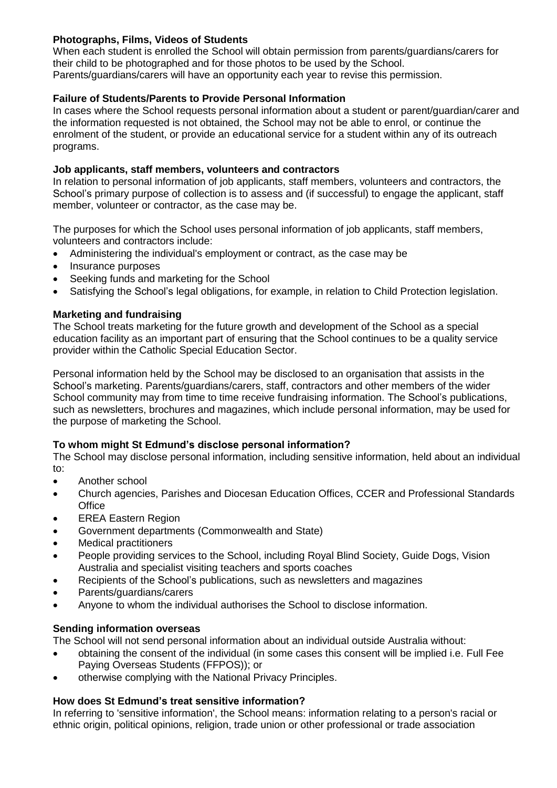## **Photographs, Films, Videos of Students**

When each student is enrolled the School will obtain permission from parents/guardians/carers for their child to be photographed and for those photos to be used by the School. Parents/guardians/carers will have an opportunity each year to revise this permission.

#### **Failure of Students/Parents to Provide Personal Information**

In cases where the School requests personal information about a student or parent/guardian/carer and the information requested is not obtained, the School may not be able to enrol, or continue the enrolment of the student, or provide an educational service for a student within any of its outreach programs.

#### **Job applicants, staff members, volunteers and contractors**

In relation to personal information of job applicants, staff members, volunteers and contractors, the School's primary purpose of collection is to assess and (if successful) to engage the applicant, staff member, volunteer or contractor, as the case may be.

The purposes for which the School uses personal information of job applicants, staff members, volunteers and contractors include:

- Administering the individual's employment or contract, as the case may be
- Insurance purposes
- Seeking funds and marketing for the School
- Satisfying the School's legal obligations, for example, in relation to Child Protection legislation.

#### **Marketing and fundraising**

The School treats marketing for the future growth and development of the School as a special education facility as an important part of ensuring that the School continues to be a quality service provider within the Catholic Special Education Sector.

Personal information held by the School may be disclosed to an organisation that assists in the School's marketing. Parents/guardians/carers, staff, contractors and other members of the wider School community may from time to time receive fundraising information. The School's publications, such as newsletters, brochures and magazines, which include personal information, may be used for the purpose of marketing the School.

#### **To whom might St Edmund's disclose personal information?**

The School may disclose personal information, including sensitive information, held about an individual to:

- Another school
- Church agencies, Parishes and Diocesan Education Offices, CCER and Professional Standards **Office**
- EREA Eastern Region
- Government departments (Commonwealth and State)
- Medical practitioners
- People providing services to the School, including Royal Blind Society, Guide Dogs, Vision Australia and specialist visiting teachers and sports coaches
- Recipients of the School's publications, such as newsletters and magazines
- Parents/guardians/carers
- Anyone to whom the individual authorises the School to disclose information.

#### **Sending information overseas**

The School will not send personal information about an individual outside Australia without:

- obtaining the consent of the individual (in some cases this consent will be implied i.e. Full Fee Paying Overseas Students (FFPOS)); or
- otherwise complying with the National Privacy Principles.

## **How does St Edmund's treat sensitive information?**

In referring to 'sensitive information', the School means: information relating to a person's racial or ethnic origin, political opinions, religion, trade union or other professional or trade association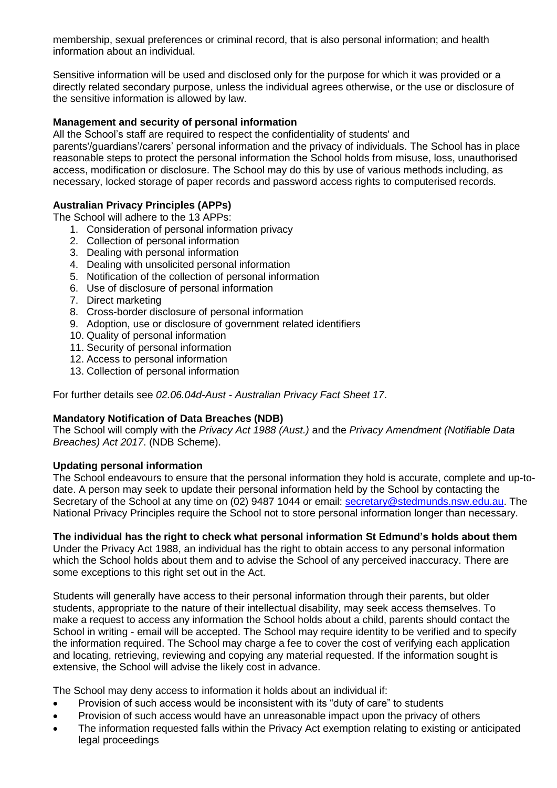membership, sexual preferences or criminal record, that is also personal information; and health information about an individual.

Sensitive information will be used and disclosed only for the purpose for which it was provided or a directly related secondary purpose, unless the individual agrees otherwise, or the use or disclosure of the sensitive information is allowed by law.

#### **Management and security of personal information**

All the School's staff are required to respect the confidentiality of students' and parents'/guardians'/carers' personal information and the privacy of individuals. The School has in place reasonable steps to protect the personal information the School holds from misuse, loss, unauthorised access, modification or disclosure. The School may do this by use of various methods including, as necessary, locked storage of paper records and password access rights to computerised records.

## **Australian Privacy Principles (APPs)**

The School will adhere to the 13 APPs:

- 1. Consideration of personal information privacy
- 2. Collection of personal information
- 3. Dealing with personal information
- 4. Dealing with unsolicited personal information
- 5. Notification of the collection of personal information
- 6. Use of disclosure of personal information
- 7. Direct marketing
- 8. Cross-border disclosure of personal information
- 9. Adoption, use or disclosure of government related identifiers
- 10. Quality of personal information
- 11. Security of personal information
- 12. Access to personal information
- 13. Collection of personal information

For further details see *02.06.04d-Aust - Australian Privacy Fact Sheet 17*.

## **Mandatory Notification of Data Breaches (NDB)**

The School will comply with the *Privacy Act 1988 (Aust.)* and the *Privacy Amendment (Notifiable Data Breaches) Act 2017*. (NDB Scheme).

#### **Updating personal information**

The School endeavours to ensure that the personal information they hold is accurate, complete and up-todate. A person may seek to update their personal information held by the School by contacting the Secretary of the School at any time on (02) 9487 1044 or email: [secretary@stedmunds.nsw.edu.au.](mailto:secretary@stedmunds.nsw.edu.au) The National Privacy Principles require the School not to store personal information longer than necessary.

## **The individual has the right to check what personal information St Edmund's holds about them**

Under the Privacy Act 1988, an individual has the right to obtain access to any personal information which the School holds about them and to advise the School of any perceived inaccuracy. There are some exceptions to this right set out in the Act.

Students will generally have access to their personal information through their parents, but older students, appropriate to the nature of their intellectual disability, may seek access themselves. To make a request to access any information the School holds about a child, parents should contact the School in writing - email will be accepted. The School may require identity to be verified and to specify the information required. The School may charge a fee to cover the cost of verifying each application and locating, retrieving, reviewing and copying any material requested. If the information sought is extensive, the School will advise the likely cost in advance.

The School may deny access to information it holds about an individual if:

- Provision of such access would be inconsistent with its "duty of care" to students
- Provision of such access would have an unreasonable impact upon the privacy of others
- The information requested falls within the Privacy Act exemption relating to existing or anticipated legal proceedings